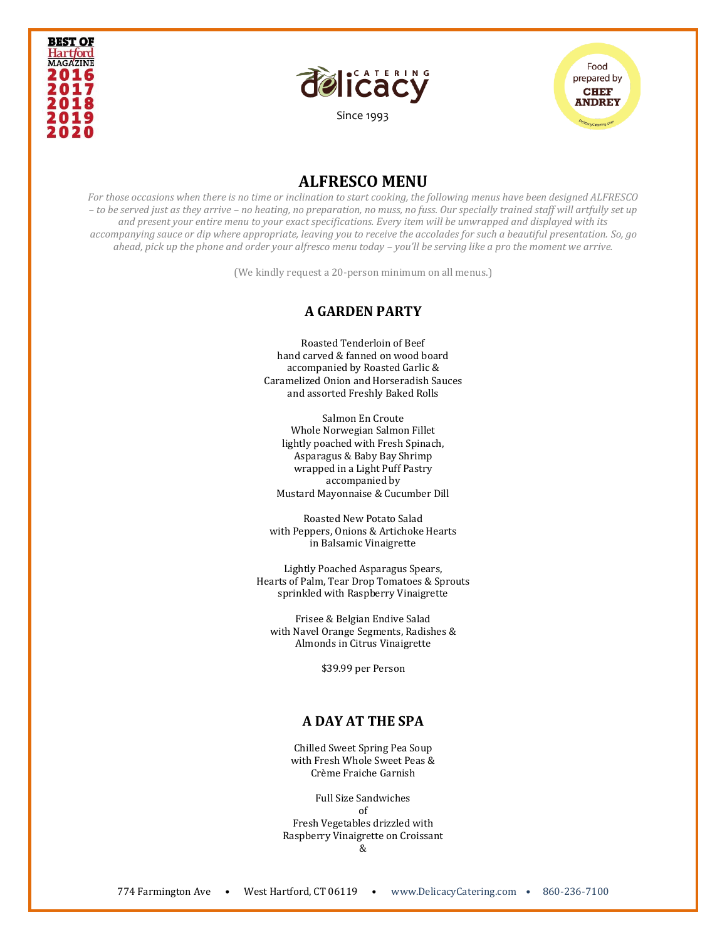





# **ALFRESCO MENU**

*For those occasions when there is no time or inclination to start cooking, the following menus have been designed ALFRESCO – to be served just as they arrive – no heating, no preparation, no muss, no fuss. Our specially trained staff will artfully set up and present your entire menu to your exact specifications. Every item will be unwrapped and displayed with its accompanying sauce or dip where appropriate, leaving you to receive the accolades for such a beautiful presentation. So, go ahead, pick up the phone and order your alfresco menu today – you'll be serving like a pro the moment we arrive.* 

(We kindly request a 20-person minimum on all menus.)

#### **A GARDEN PARTY**

Roasted Tenderloin of Beef hand carved & fanned on wood board accompanied by Roasted Garlic & Caramelized Onion and Horseradish Sauces and assorted Freshly Baked Rolls

Salmon En Croute Whole Norwegian Salmon Fillet lightly poached with Fresh Spinach, Asparagus & Baby Bay Shrimp wrapped in a Light Puff Pastry accompanied by Mustard Mayonnaise & Cucumber Dill

Roasted New Potato Salad with Peppers, Onions & Artichoke Hearts in Balsamic Vinaigrette

Lightly Poached Asparagus Spears, Hearts of Palm, Tear Drop Tomatoes & Sprouts sprinkled with Raspberry Vinaigrette

Frisee & Belgian Endive Salad with Navel Orange Segments, Radishes & Almonds in Citrus Vinaigrette

\$39.99 per Person

# **A DAY AT THE SPA**

Chilled Sweet Spring Pea Soup with Fresh Whole Sweet Peas & Crème Fraiche Garnish

Full Size Sandwiches of Fresh Vegetables drizzled with Raspberry Vinaigrette on Croissant &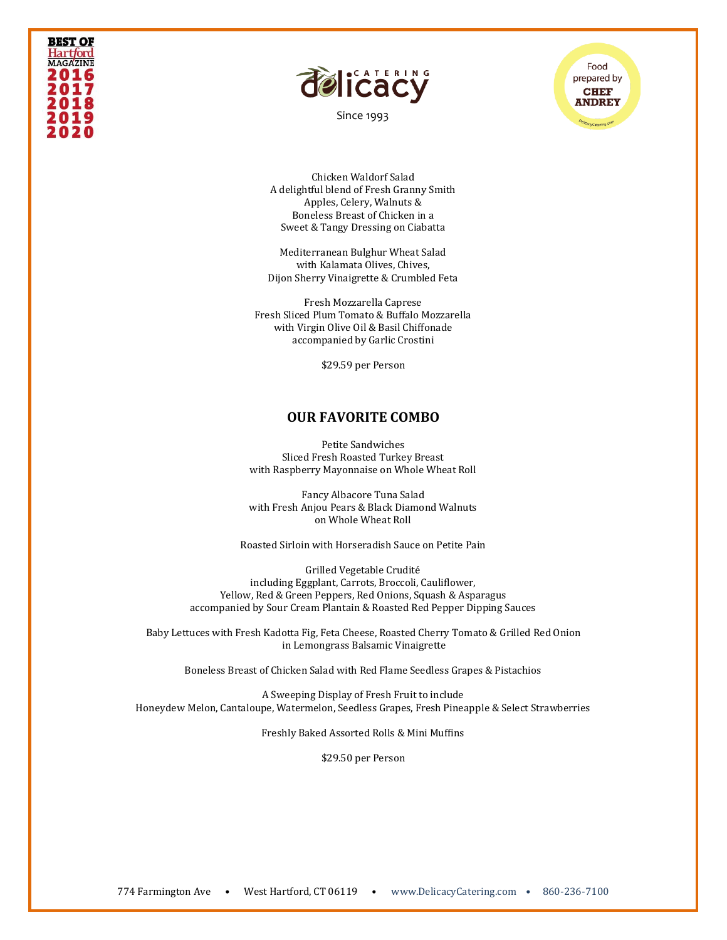# **BEST OF** Hart*f*ord **MAGAZINE** 2016 2017 201 2020



[Since 1993](file:///C:/Users/DelicacyCatering/Dropbox/DELCATERING/1%20Stationary/delicacycatering.com)



Chicken Waldorf Salad A delightful blend of Fresh Granny Smith Apples, Celery, Walnuts & Boneless Breast of Chicken in a Sweet & Tangy Dressing on Ciabatta

Mediterranean Bulghur Wheat Salad with Kalamata Olives, Chives, Dijon Sherry Vinaigrette & Crumbled Feta

Fresh Mozzarella Caprese Fresh Sliced Plum Tomato & Buffalo Mozzarella with Virgin Olive Oil & Basil Chiffonade accompanied by Garlic Crostini

\$29.59 per Person

#### **OUR FAVORITE COMBO**

Petite Sandwiches Sliced Fresh Roasted Turkey Breast with Raspberry Mayonnaise on Whole Wheat Roll

Fancy Albacore Tuna Salad with Fresh Anjou Pears & Black Diamond Walnuts on Whole Wheat Roll

Roasted Sirloin with Horseradish Sauce on Petite Pain

Grilled Vegetable Crudité including Eggplant, Carrots, Broccoli, Cauliflower, Yellow, Red & Green Peppers, Red Onions, Squash & Asparagus accompanied by Sour Cream Plantain & Roasted Red Pepper Dipping Sauces

Baby Lettuces with Fresh Kadotta Fig, Feta Cheese, Roasted Cherry Tomato & Grilled Red Onion in Lemongrass Balsamic Vinaigrette

Boneless Breast of Chicken Salad with Red Flame Seedless Grapes & Pistachios

A Sweeping Display of Fresh Fruit to include Honeydew Melon, Cantaloupe, Watermelon, Seedless Grapes, Fresh Pineapple & Select Strawberries

Freshly Baked Assorted Rolls & Mini Muffins

\$29.50 per Person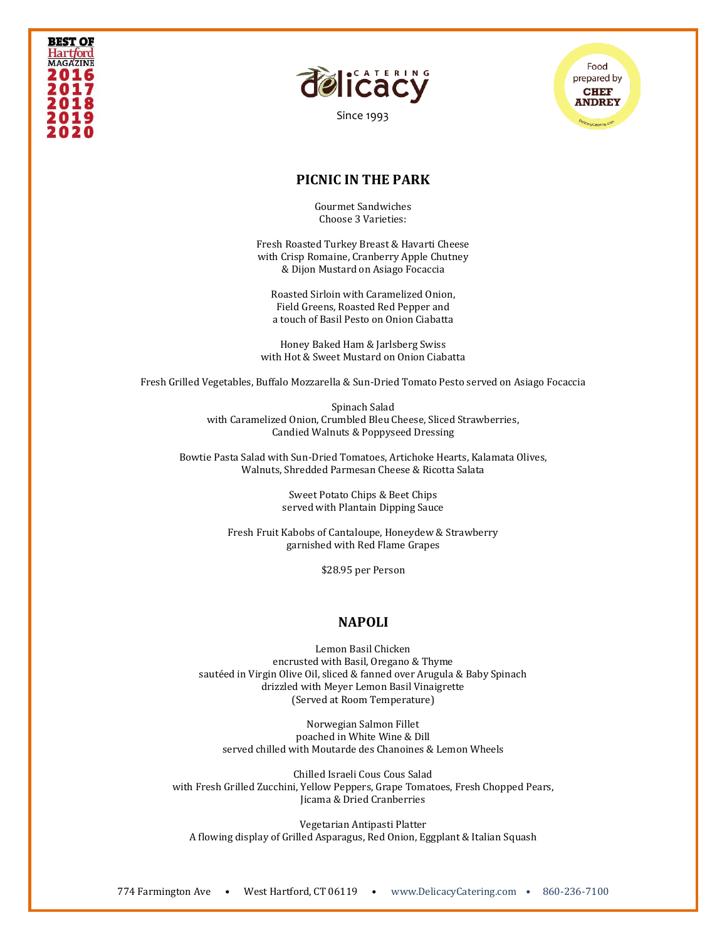



[Since 1993](file:///C:/Users/DelicacyCatering/Dropbox/DELCATERING/1%20Stationary/delicacycatering.com)



## **PICNIC IN THE PARK**

Gourmet Sandwiches Choose 3 Varieties:

Fresh Roasted Turkey Breast & Havarti Cheese with Crisp Romaine, Cranberry Apple Chutney & Dijon Mustard on Asiago Focaccia

Roasted Sirloin with Caramelized Onion, Field Greens, Roasted Red Pepper and a touch of Basil Pesto on Onion Ciabatta

Honey Baked Ham & Jarlsberg Swiss with Hot & Sweet Mustard on Onion Ciabatta

Fresh Grilled Vegetables, Buffalo Mozzarella & Sun-Dried Tomato Pesto served on Asiago Focaccia

Spinach Salad with Caramelized Onion, Crumbled Bleu Cheese, Sliced Strawberries, Candied Walnuts & Poppyseed Dressing

Bowtie Pasta Salad with Sun-Dried Tomatoes, Artichoke Hearts, Kalamata Olives, Walnuts, Shredded Parmesan Cheese & Ricotta Salata

> Sweet Potato Chips & Beet Chips served with Plantain Dipping Sauce

Fresh Fruit Kabobs of Cantaloupe, Honeydew & Strawberry garnished with Red Flame Grapes

\$28.95 per Person

### **NAPOLI**

Lemon Basil Chicken encrusted with Basil, Oregano & Thyme sautéed in Virgin Olive Oil, sliced & fanned over Arugula & Baby Spinach drizzled with Meyer Lemon Basil Vinaigrette (Served at Room Temperature)

Norwegian Salmon Fillet poached in White Wine & Dill served chilled with Moutarde des Chanoines & Lemon Wheels

Chilled Israeli Cous Cous Salad with Fresh Grilled Zucchini, Yellow Peppers, Grape Tomatoes, Fresh Chopped Pears, Jicama & Dried Cranberries

Vegetarian Antipasti Platter A flowing display of Grilled Asparagus, Red Onion, Eggplant & Italian Squash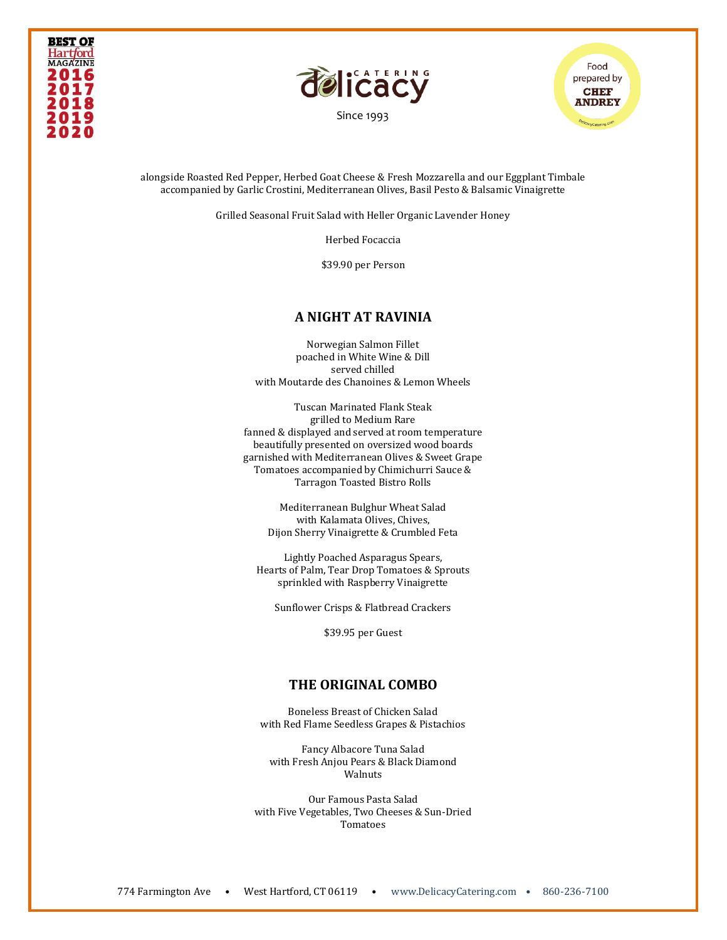





alongside Roasted Red Pepper, Herbed Goat Cheese & Fresh Mozzarella and our Eggplant Timbale accompanied by Garlic Crostini, Mediterranean Olives, Basil Pesto & Balsamic Vinaigrette

Grilled Seasonal Fruit Salad with Heller Organic Lavender Honey

Herbed Focaccia

\$39.90 per Person

### **A NIGHT AT RAVINIA**

Norwegian Salmon Fillet poached in White Wine & Dill served chilled with Moutarde des Chanoines & Lemon Wheels

Tuscan Marinated Flank Steak grilled to Medium Rare fanned & displayed and served at room temperature beautifully presented on oversized wood boards garnished with Mediterranean Olives & Sweet Grape Tomatoes accompanied by Chimichurri Sauce & Tarragon Toasted Bistro Rolls

> Mediterranean Bulghur Wheat Salad with Kalamata Olives, Chives, Dijon Sherry Vinaigrette & Crumbled Feta

Lightly Poached Asparagus Spears, Hearts of Palm, Tear Drop Tomatoes & Sprouts sprinkled with Raspberry Vinaigrette

Sunflower Crisps & Flatbread Crackers

\$39.95 per Guest

# **THE ORIGINAL COMBO**

Boneless Breast of Chicken Salad with Red Flame Seedless Grapes & Pistachios

Fancy Albacore Tuna Salad with Fresh Anjou Pears & Black Diamond Walnuts

Our Famous Pasta Salad with Five Vegetables, Two Cheeses & Sun-Dried Tomatoes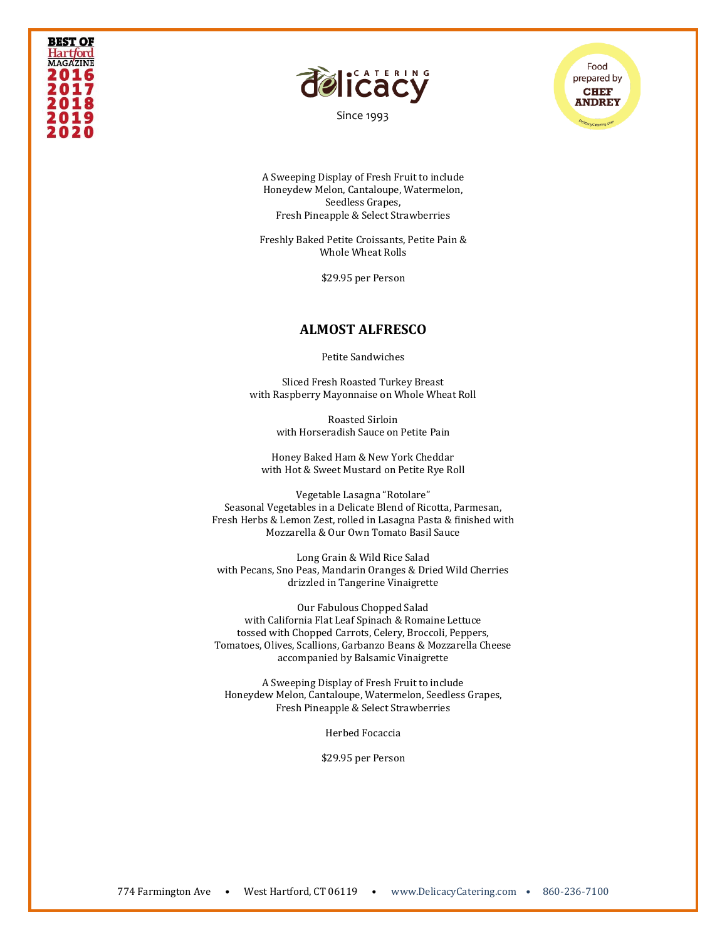#### **BEST OF Hartford MAGAZINE** 2016 2017 201 201 2020



[Since 1993](file:///C:/Users/DelicacyCatering/Dropbox/DELCATERING/1%20Stationary/delicacycatering.com)



A Sweeping Display of Fresh Fruit to include Honeydew Melon, Cantaloupe, Watermelon, Seedless Grapes, Fresh Pineapple & Select Strawberries

Freshly Baked Petite Croissants, Petite Pain & Whole Wheat Rolls

\$29.95 per Person

## **ALMOST ALFRESCO**

Petite Sandwiches

Sliced Fresh Roasted Turkey Breast with Raspberry Mayonnaise on Whole Wheat Roll

> Roasted Sirloin with Horseradish Sauce on Petite Pain

Honey Baked Ham & New York Cheddar with Hot & Sweet Mustard on Petite Rye Roll

Vegetable Lasagna "Rotolare" Seasonal Vegetables in a Delicate Blend of Ricotta, Parmesan, Fresh Herbs & Lemon Zest, rolled in Lasagna Pasta & finished with Mozzarella & Our Own Tomato Basil Sauce

Long Grain & Wild Rice Salad with Pecans, Sno Peas, Mandarin Oranges & Dried Wild Cherries drizzled in Tangerine Vinaigrette

Our Fabulous Chopped Salad with California Flat Leaf Spinach & Romaine Lettuce tossed with Chopped Carrots, Celery, Broccoli, Peppers, Tomatoes, Olives, Scallions, Garbanzo Beans & Mozzarella Cheese accompanied by Balsamic Vinaigrette

A Sweeping Display of Fresh Fruit to include Honeydew Melon, Cantaloupe, Watermelon, Seedless Grapes, Fresh Pineapple & Select Strawberries

Herbed Focaccia

\$29.95 per Person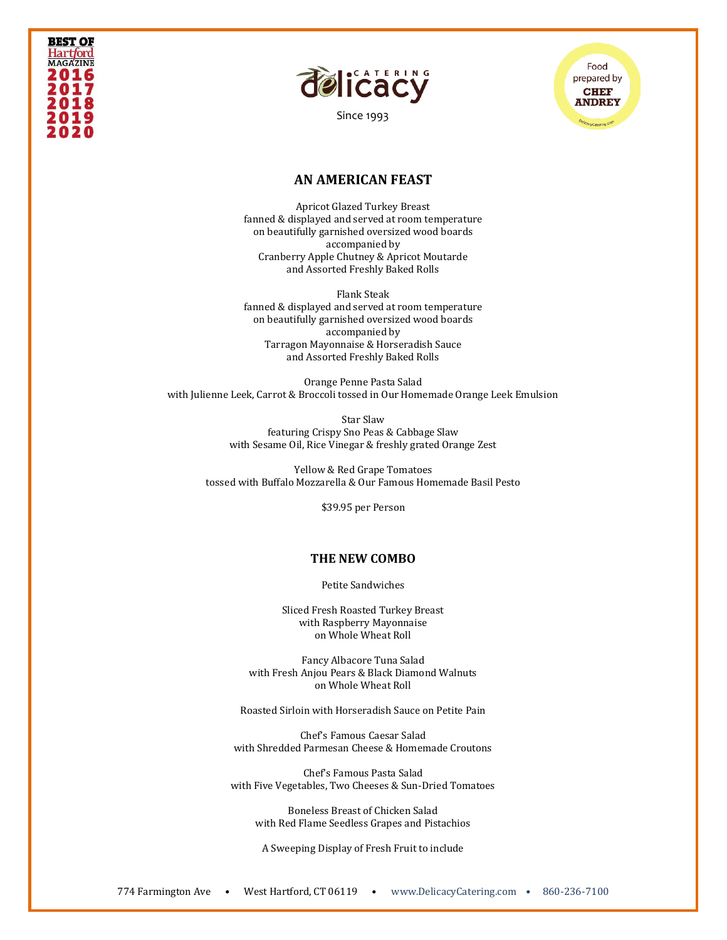# **BEST OF** Hart*f*ord **MAGAZINE** 2016 2017 202



[Since 1993](file:///C:/Users/DelicacyCatering/Dropbox/DELCATERING/1%20Stationary/delicacycatering.com)



## **AN AMERICAN FEAST**

Apricot Glazed Turkey Breast fanned & displayed and served at room temperature on beautifully garnished oversized wood boards accompanied by Cranberry Apple Chutney & Apricot Moutarde and Assorted Freshly Baked Rolls

Flank Steak fanned & displayed and served at room temperature on beautifully garnished oversized wood boards accompanied by Tarragon Mayonnaise & Horseradish Sauce and Assorted Freshly Baked Rolls

Orange Penne Pasta Salad with Julienne Leek, Carrot & Broccoli tossed in Our Homemade Orange Leek Emulsion

> Star Slaw featuring Crispy Sno Peas & Cabbage Slaw with Sesame Oil, Rice Vinegar & freshly grated Orange Zest

Yellow & Red Grape Tomatoes tossed with Buffalo Mozzarella & Our Famous Homemade Basil Pesto

\$39.95 per Person

#### **THE NEW COMBO**

Petite Sandwiches

Sliced Fresh Roasted Turkey Breast with Raspberry Mayonnaise on Whole Wheat Roll

Fancy Albacore Tuna Salad with Fresh Anjou Pears & Black Diamond Walnuts on Whole Wheat Roll

Roasted Sirloin with Horseradish Sauce on Petite Pain

Chef's Famous Caesar Salad with Shredded Parmesan Cheese & Homemade Croutons

Chef's Famous Pasta Salad with Five Vegetables, Two Cheeses & Sun-Dried Tomatoes

Boneless Breast of Chicken Salad with Red Flame Seedless Grapes and Pistachios

A Sweeping Display of Fresh Fruit to include